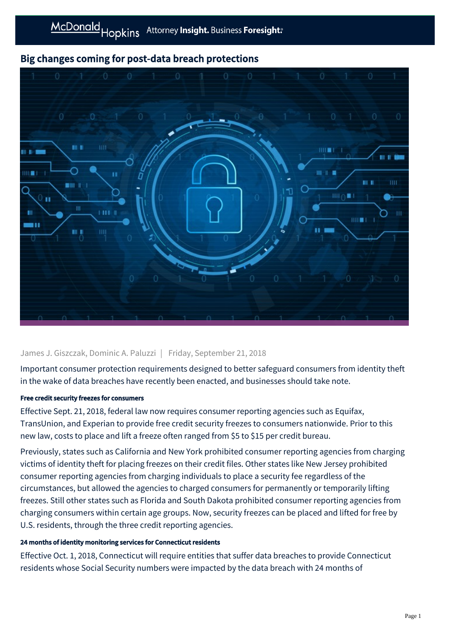# Big changes coming for post-data breach protections



## James J. Giszczak, Dominic A. Paluzzi | Friday, September 21, 2018

Important consumer protection requirements designed to better safeguard consumers from identity theft in the wake of data breaches have recently been enacted, and businesses should take note.

## Free credit security freezes for consumers

Effective Sept. 21, 2018, federal law now requires consumer reporting agencies such as Equifax, TransUnion, and Experian to provide free credit security freezes to consumers nationwide. Prior to this new law, costs to place and lift a freeze often ranged from \$5 to \$15 per credit bureau.

Previously, states such as California and New York prohibited consumer reporting agencies from charging victims of identity theft for placing freezes on their credit files. Other states like New Jersey prohibited consumer reporting agencies from charging individuals to place a security fee regardless of the circumstances, but allowed the agencies to charged consumers for permanently or temporarily lifting freezes. Still other states such as Florida and South Dakota prohibited consumer reporting agencies from charging consumers within certain age groups. Now, security freezes can be placed and lifted for free by U.S. residents, through the three credit reporting agencies.

#### 24 months of identity monitoring services for Connecticut residents

Effective Oct. 1, 2018, Connecticut will require entities that suffer data breaches to provide Connecticut residents whose Social Security numbers were impacted by the data breach with 24 months of